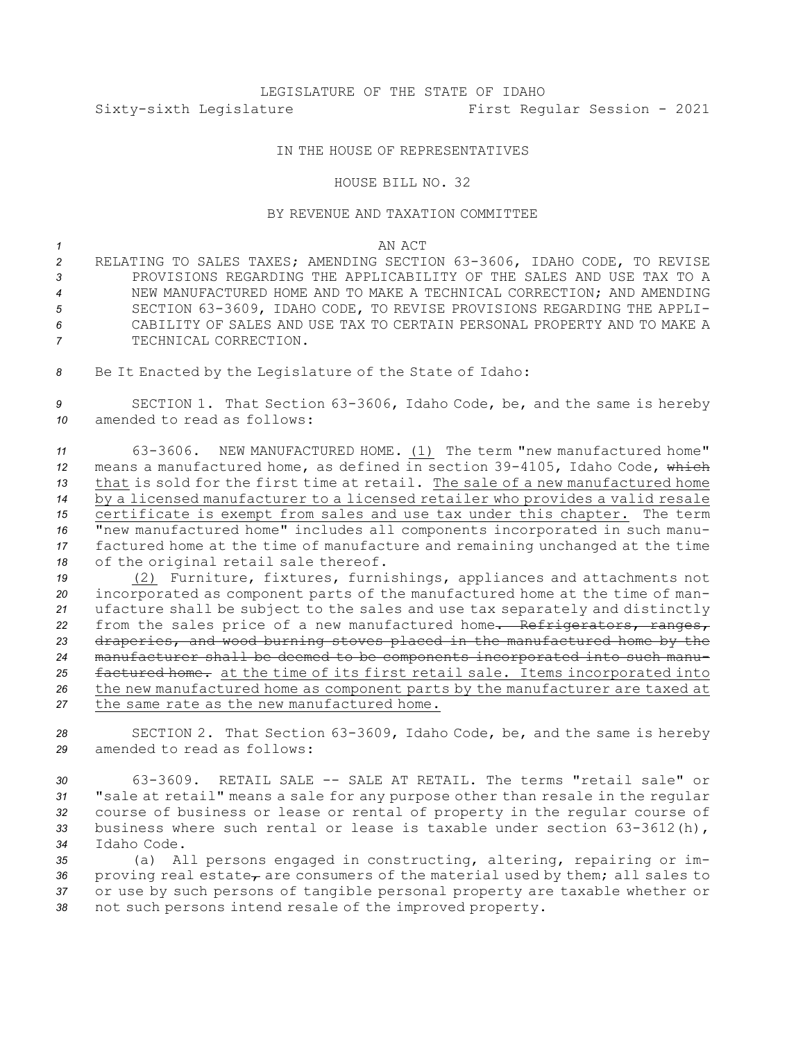# LEGISLATURE OF THE STATE OF IDAHO Sixty-sixth Legislature First Regular Session - 2021

# IN THE HOUSE OF REPRESENTATIVES

### HOUSE BILL NO. 32

# BY REVENUE AND TAXATION COMMITTEE

## *1* AN ACT

 RELATING TO SALES TAXES; AMENDING SECTION 63-3606, IDAHO CODE, TO REVISE PROVISIONS REGARDING THE APPLICABILITY OF THE SALES AND USE TAX TO A NEW MANUFACTURED HOME AND TO MAKE A TECHNICAL CORRECTION; AND AMENDING SECTION 63-3609, IDAHO CODE, TO REVISE PROVISIONS REGARDING THE APPLI- CABILITY OF SALES AND USE TAX TO CERTAIN PERSONAL PROPERTY AND TO MAKE A TECHNICAL CORRECTION.

*<sup>8</sup>* Be It Enacted by the Legislature of the State of Idaho:

*<sup>9</sup>* SECTION 1. That Section 63-3606, Idaho Code, be, and the same is hereby *10* amended to read as follows:

 63-3606. NEW MANUFACTURED HOME. (1) The term "new manufactured home" means <sup>a</sup> manufactured home, as defined in section 39-4105, Idaho Code, which that is sold for the first time at retail. The sale of <sup>a</sup> new manufactured home by <sup>a</sup> licensed manufacturer to <sup>a</sup> licensed retailer who provides <sup>a</sup> valid resale certificate is exempt from sales and use tax under this chapter. The term "new manufactured home" includes all components incorporated in such manu- factured home at the time of manufacture and remaining unchanged at the time of the original retail sale thereof.

 (2) Furniture, fixtures, furnishings, appliances and attachments not incorporated as component parts of the manufactured home at the time of man- ufacture shall be subject to the sales and use tax separately and distinctly 22 from the sales price of a new manufactured home. Refrigerators, ranges, draperies, and wood burning stoves placed in the manufactured home by the manufacturer shall be deemed to be components incorporated into such manu- factured home. at the time of its first retail sale. Items incorporated into the new manufactured home as component parts by the manufacturer are taxed at the same rate as the new manufactured home.

*<sup>28</sup>* SECTION 2. That Section 63-3609, Idaho Code, be, and the same is hereby *29* amended to read as follows:

 63-3609. RETAIL SALE -- SALE AT RETAIL. The terms "retail sale" or "sale at retail" means <sup>a</sup> sale for any purpose other than resale in the regular course of business or lease or rental of property in the regular course of business where such rental or lease is taxable under section 63-3612(h), Idaho Code.

 (a) All persons engaged in constructing, altering, repairing or im-36 proving real estate<sub> $\tau$ </sub> are consumers of the material used by them; all sales to or use by such persons of tangible personal property are taxable whether or not such persons intend resale of the improved property.